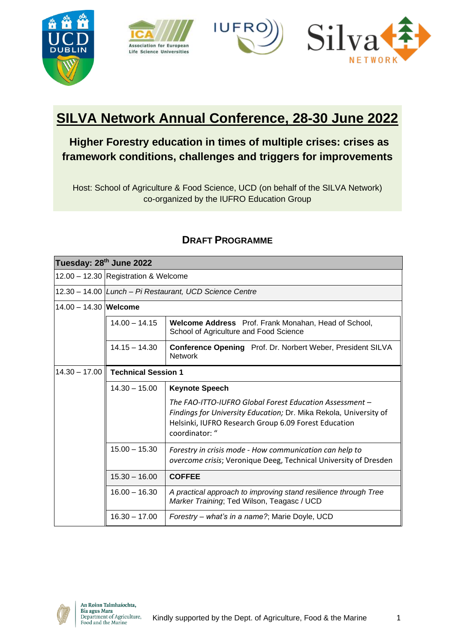







# **SILVA Network Annual Conference, 28-30 June 2022**

# **Higher Forestry education in times of multiple crises: crises as framework conditions, challenges and triggers for improvements**

Host: School of Agriculture & Food Science, UCD (on behalf of the SILVA Network) co-organized by the IUFRO Education Group

| Tuesday: 28 <sup>th</sup> June 2022 |                                                         |                                                                                                                                                                                                        |  |
|-------------------------------------|---------------------------------------------------------|--------------------------------------------------------------------------------------------------------------------------------------------------------------------------------------------------------|--|
|                                     | 12.00 - 12.30 Registration & Welcome                    |                                                                                                                                                                                                        |  |
|                                     | 12.30 - 14.00 Lunch - Pi Restaurant, UCD Science Centre |                                                                                                                                                                                                        |  |
| $14.00 - 14.30$ Welcome             |                                                         |                                                                                                                                                                                                        |  |
|                                     | $14.00 - 14.15$                                         | Welcome Address Prof. Frank Monahan, Head of School,<br>School of Agriculture and Food Science                                                                                                         |  |
|                                     | $14.15 - 14.30$                                         | Conference Opening Prof. Dr. Norbert Weber, President SILVA<br>Network                                                                                                                                 |  |
| $14.30 - 17.00$                     | <b>Technical Session 1</b>                              |                                                                                                                                                                                                        |  |
|                                     | $14.30 - 15.00$                                         | <b>Keynote Speech</b>                                                                                                                                                                                  |  |
|                                     |                                                         | The FAO-ITTO-IUFRO Global Forest Education Assessment –<br>Findings for University Education; Dr. Mika Rekola, University of<br>Helsinki, IUFRO Research Group 6.09 Forest Education<br>coordinator: " |  |
|                                     | $15.00 - 15.30$                                         | Forestry in crisis mode - How communication can help to<br>overcome crisis; Veronique Deeg, Technical University of Dresden                                                                            |  |
|                                     | $15.30 - 16.00$                                         | <b>COFFEE</b>                                                                                                                                                                                          |  |
|                                     | $16.00 - 16.30$                                         | A practical approach to improving stand resilience through Tree<br>Marker Training; Ted Wilson, Teagasc / UCD                                                                                          |  |
|                                     | $16.30 - 17.00$                                         | Forestry - what's in a name?; Marie Doyle, UCD                                                                                                                                                         |  |

# **DRAFT PROGRAMME**

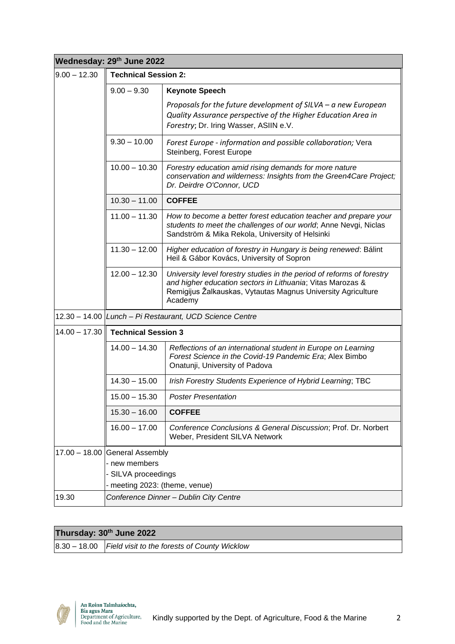| Wednesday: 29th June 2022 |                                                                                                        |                                                                                                                                                                                                                 |  |
|---------------------------|--------------------------------------------------------------------------------------------------------|-----------------------------------------------------------------------------------------------------------------------------------------------------------------------------------------------------------------|--|
| $9.00 - 12.30$            | <b>Technical Session 2:</b>                                                                            |                                                                                                                                                                                                                 |  |
|                           | $9.00 - 9.30$                                                                                          | <b>Keynote Speech</b>                                                                                                                                                                                           |  |
|                           |                                                                                                        | Proposals for the future development of $SILVA - a$ new European<br>Quality Assurance perspective of the Higher Education Area in<br>Forestry; Dr. Iring Wasser, ASIIN e.V.                                     |  |
|                           | $9.30 - 10.00$                                                                                         | Forest Europe - information and possible collaboration; Vera<br>Steinberg, Forest Europe                                                                                                                        |  |
|                           | $10.00 - 10.30$                                                                                        | Forestry education amid rising demands for more nature<br>conservation and wilderness: Insights from the Green4Care Project;<br>Dr. Deirdre O'Connor, UCD                                                       |  |
|                           | $10.30 - 11.00$                                                                                        | <b>COFFEE</b>                                                                                                                                                                                                   |  |
|                           | $11.00 - 11.30$                                                                                        | How to become a better forest education teacher and prepare your<br>students to meet the challenges of our world; Anne Nevgi, Niclas<br>Sandström & Mika Rekola, University of Helsinki                         |  |
|                           | $11.30 - 12.00$                                                                                        | Higher education of forestry in Hungary is being renewed: Bálint<br>Heil & Gábor Kovács, University of Sopron                                                                                                   |  |
|                           | $12.00 - 12.30$                                                                                        | University level forestry studies in the period of reforms of forestry<br>and higher education sectors in Lithuania; Vitas Marozas &<br>Remigijus Žalkauskas, Vytautas Magnus University Agriculture<br>Academy |  |
|                           | 12.30 - 14.00 Lunch - Pi Restaurant, UCD Science Centre                                                |                                                                                                                                                                                                                 |  |
| $14.00 - 17.30$           | <b>Technical Session 3</b>                                                                             |                                                                                                                                                                                                                 |  |
|                           | $14.00 - 14.30$                                                                                        | Reflections of an international student in Europe on Learning<br>Forest Science in the Covid-19 Pandemic Era; Alex Bimbo<br>Onatunji, University of Padova                                                      |  |
|                           | $14.30 - 15.00$                                                                                        | Irish Forestry Students Experience of Hybrid Learning; TBC                                                                                                                                                      |  |
|                           | $15.00 - 15.30$                                                                                        | <b>Poster Presentation</b>                                                                                                                                                                                      |  |
|                           | $15.30 - 16.00$                                                                                        | <b>COFFEE</b>                                                                                                                                                                                                   |  |
|                           | $16.00 - 17.00$                                                                                        | Conference Conclusions & General Discussion; Prof. Dr. Norbert<br>Weber, President SILVA Network                                                                                                                |  |
|                           | 17.00 - 18.00 General Assembly<br>- new members<br>- SILVA proceedings<br>meeting 2023: (theme, venue) |                                                                                                                                                                                                                 |  |
| 19.30                     | Conference Dinner - Dublin City Centre                                                                 |                                                                                                                                                                                                                 |  |

# **Thursday: 30th June 2022**

8.30 – 18.00 *Field visit to the forests of County Wicklow*

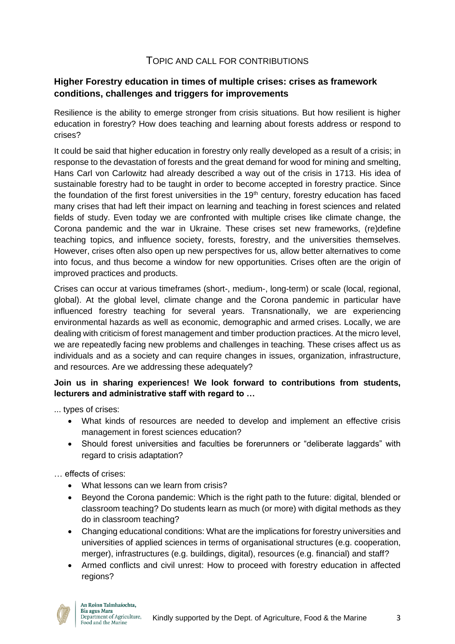#### TOPIC AND CALL FOR CONTRIBUTIONS

#### **Higher Forestry education in times of multiple crises: crises as framework conditions, challenges and triggers for improvements**

Resilience is the ability to emerge stronger from crisis situations. But how resilient is higher education in forestry? How does teaching and learning about forests address or respond to crises?

It could be said that higher education in forestry only really developed as a result of a crisis; in response to the devastation of forests and the great demand for wood for mining and smelting, Hans Carl von Carlowitz had already described a way out of the crisis in 1713. His idea of sustainable forestry had to be taught in order to become accepted in forestry practice. Since the foundation of the first forest universities in the  $19<sup>th</sup>$  century, forestry education has faced many crises that had left their impact on learning and teaching in forest sciences and related fields of study. Even today we are confronted with multiple crises like climate change, the Corona pandemic and the war in Ukraine. These crises set new frameworks, (re)define teaching topics, and influence society, forests, forestry, and the universities themselves. However, crises often also open up new perspectives for us, allow better alternatives to come into focus, and thus become a window for new opportunities. Crises often are the origin of improved practices and products.

Crises can occur at various timeframes (short-, medium-, long-term) or scale (local, regional, global). At the global level, climate change and the Corona pandemic in particular have influenced forestry teaching for several years. Transnationally, we are experiencing environmental hazards as well as economic, demographic and armed crises. Locally, we are dealing with criticism of forest management and timber production practices. At the micro level, we are repeatedly facing new problems and challenges in teaching. These crises affect us as individuals and as a society and can require changes in issues, organization, infrastructure, and resources. Are we addressing these adequately?

#### **Join us in sharing experiences! We look forward to contributions from students, lecturers and administrative staff with regard to …**

... types of crises:

- What kinds of resources are needed to develop and implement an effective crisis management in forest sciences education?
- Should forest universities and faculties be forerunners or "deliberate laggards" with regard to crisis adaptation?

… effects of crises:

- What lessons can we learn from crisis?
- Beyond the Corona pandemic: Which is the right path to the future: digital, blended or classroom teaching? Do students learn as much (or more) with digital methods as they do in classroom teaching?
- Changing educational conditions: What are the implications for forestry universities and universities of applied sciences in terms of organisational structures (e.g. cooperation, merger), infrastructures (e.g. buildings, digital), resources (e.g. financial) and staff?
- Armed conflicts and civil unrest: How to proceed with forestry education in affected regions?

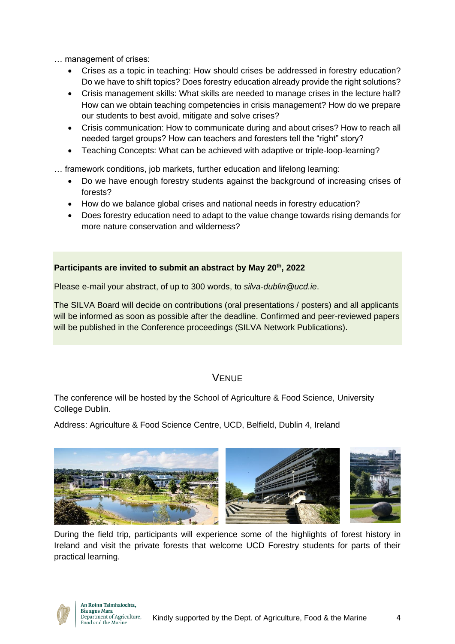… management of crises:

- Crises as a topic in teaching: How should crises be addressed in forestry education? Do we have to shift topics? Does forestry education already provide the right solutions?
- Crisis management skills: What skills are needed to manage crises in the lecture hall? How can we obtain teaching competencies in crisis management? How do we prepare our students to best avoid, mitigate and solve crises?
- Crisis communication: How to communicate during and about crises? How to reach all needed target groups? How can teachers and foresters tell the "right" story?
- Teaching Concepts: What can be achieved with adaptive or triple-loop-learning?
- … framework conditions, job markets, further education and lifelong learning:
	- Do we have enough forestry students against the background of increasing crises of forests?
	- How do we balance global crises and national needs in forestry education?
	- Does forestry education need to adapt to the value change towards rising demands for more nature conservation and wilderness?

#### **Participants are invited to submit an abstract by May 20th, 2022**

Please e-mail your abstract, of up to 300 words, to *silva-dublin@ucd.ie*.

The SILVA Board will decide on contributions (oral presentations / posters) and all applicants will be informed as soon as possible after the deadline. Confirmed and peer-reviewed papers will be published in the Conference proceedings (SILVA Network Publications).

# **VENUE**

The conference will be hosted by the School of Agriculture & Food Science, University College Dublin.

Address: Agriculture & Food Science Centre, UCD, Belfield, Dublin 4, Ireland



During the field trip, participants will experience some of the highlights of forest history in Ireland and visit the private forests that welcome UCD Forestry students for parts of their practical learning.